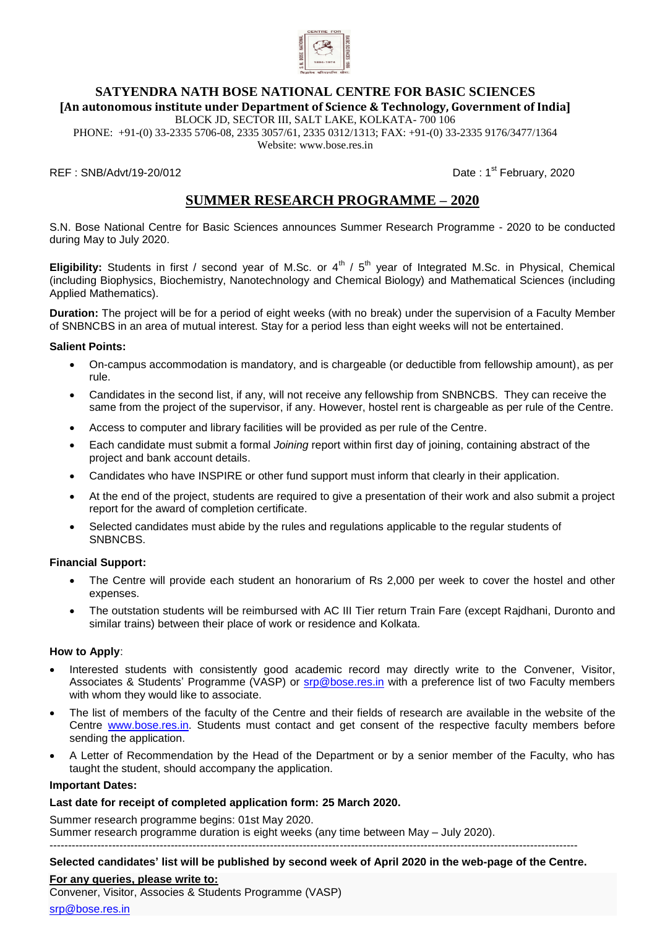

# **SATYENDRA NATH BOSE NATIONAL CENTRE FOR BASIC SCIENCES [An autonomous institute under Department of Science & Technology, Government of India]**

BLOCK JD, SECTOR III, SALT LAKE, KOLKATA- 700 106 PHONE: +91-(0) 33-2335 5706-08, 2335 3057/61, 2335 0312/1313; FAX: +91-(0) 33-2335 9176/3477/1364

Website: [www.bose.res.in](http://www.bose.res.in/)

REF : SNB/Advt/19-20/012 **Date : 1st February, 2020** 

# **SUMMER RESEARCH PROGRAMME – 2020**

S.N. Bose National Centre for Basic Sciences announces Summer Research Programme - 2020 to be conducted during May to July 2020.

**Eligibility:** Students in first / second year of M.Sc. or  $4^{\text{th}}$  /  $5^{\text{th}}$  year of Integrated M.Sc. in Physical, Chemical (including Biophysics, Biochemistry, Nanotechnology and Chemical Biology) and Mathematical Sciences (including Applied Mathematics).

**Duration:** The project will be for a period of eight weeks (with no break) under the supervision of a Faculty Member of SNBNCBS in an area of mutual interest. Stay for a period less than eight weeks will not be entertained.

### **Salient Points:**

- On-campus accommodation is mandatory, and is chargeable (or deductible from fellowship amount), as per rule.
- Candidates in the second list, if any, will not receive any fellowship from SNBNCBS. They can receive the same from the project of the supervisor, if any. However, hostel rent is chargeable as per rule of the Centre.
- Access to computer and library facilities will be provided as per rule of the Centre.
- Each candidate must submit a formal *Joining* report within first day of joining, containing abstract of the project and bank account details.
- Candidates who have INSPIRE or other fund support must inform that clearly in their application.
- At the end of the project, students are required to give a presentation of their work and also submit a project report for the award of completion certificate.
- Selected candidates must abide by the rules and regulations applicable to the regular students of SNBNCBS.

#### **Financial Support:**

- The Centre will provide each student an honorarium of Rs 2,000 per week to cover the hostel and other expenses.
- The outstation students will be reimbursed with AC III Tier return Train Fare (except Rajdhani, Duronto and similar trains) between their place of work or residence and Kolkata.

#### **How to Apply**:

- Interested students with consistently good academic record may directly write to the Convener, Visitor, Associates & Students' Programme (VASP) or [srp@bose.res.in](mailto:srp@bose.res.in) with a preference list of two Faculty members with whom they would like to associate.
- The list of members of the faculty of the Centre and their fields of research are available in the website of the Centre [www.bose.res.in.](http://www.bose.res.in/) Students must contact and get consent of the respective faculty members before sending the application.
- A Letter of Recommendation by the Head of the Department or by a senior member of the Faculty, who has taught the student, should accompany the application.

#### **Important Dates:**

## **Last date for receipt of completed application form: 25 March 2020.**

Summer research programme begins: 01st May 2020. Summer research programme duration is eight weeks (any time between May – July 2020). ------------------------------------------------------------------------------------------------------------------------------------------------

## **Selected candidates' list will be published by second week of April 2020 in the web-page of the Centre.**

#### **For any queries, please write to:**

Convener, Visitor, Associes & Students Programme (VASP)

[srp@bose.res.in](mailto:srp@bose.res.in)